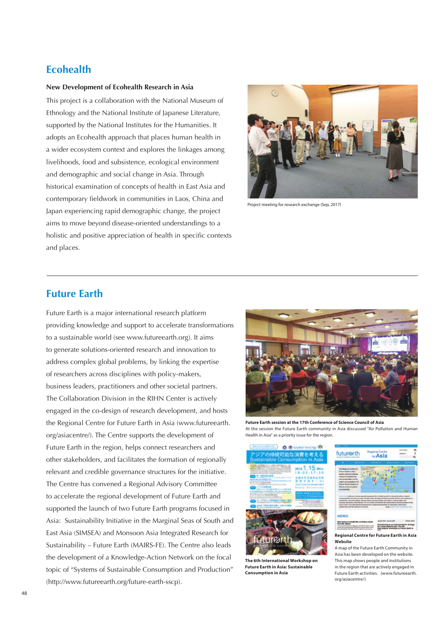# **Ecohealth**

## **New Development of Ecohealth Research in Asia**

This project is a collaboration with the National Museum of Ethnology and the National Institute of Japanese Literature, supported by the National Institutes for the Humanities. It adopts an Ecohealth approach that places human health in a wider ecosystem context and explores the linkages among livelihoods, food and subsistence, ecological environment and demographic and social change in Asia. Through historical examination of concepts of health in East Asia and contemporary fieldwork in communities in Laos, China and Japan experiencing rapid demographic change, the project aims to move beyond disease-oriented understandings to a holistic and positive appreciation of health in specific contexts and places.



Project meeting for research exchange (Sep, 2017)

# **Future Earth**

Future Earth is a major international research platform providing knowledge and support to accelerate transformations to a sustainable world (see www.futureearth.org). It aims to generate solutions-oriented research and innovation to address complex global problems, by linking the expertise of researchers across disciplines with policy-makers, business leaders, practitioners and other societal partners. The Collaboration Division in the RIHN Center is actively engaged in the co-design of research development, and hosts the Regional Centre for Future Earth in Asia (www.futureearth. org/asiacentre/). The Centre supports the development of Future Earth in the region, helps connect researchers and other stakeholders, and facilitates the formation of regionally relevant and credible governance structures for the initiative. The Centre has convened a Regional Advisory Committee to accelerate the regional development of Future Earth and supported the launch of two Future Earth programs focused in Asia: Sustainability Initiative in the Marginal Seas of South and East Asia (SIMSEA) and Monsoon Asia Integrated Research for Sustainability – Future Earth (MAIRS-FE). The Centre also leads the development of a Knowledge-Action Network on the focal topic of "Systems of Sustainable Consumption and Production" (http://www.futureearth.org/future-earth-sscp).



**Future Earth session at the 17th Conference of Science Council of Asia**  At the session the Future Earth community in Asia discussed "Air Pollution and Human Health in Asia" as a priority issue for the region.



**The 6th International Workshop on Future Earth in Asia: Sustainable Consumption in Asia** 



A map of the Future Earth Community in Asia has been developed on the website. This map shows people and institutions in the region that are actively engaged in Future Earth activities. (www.futureearth. org/asiacentre/)